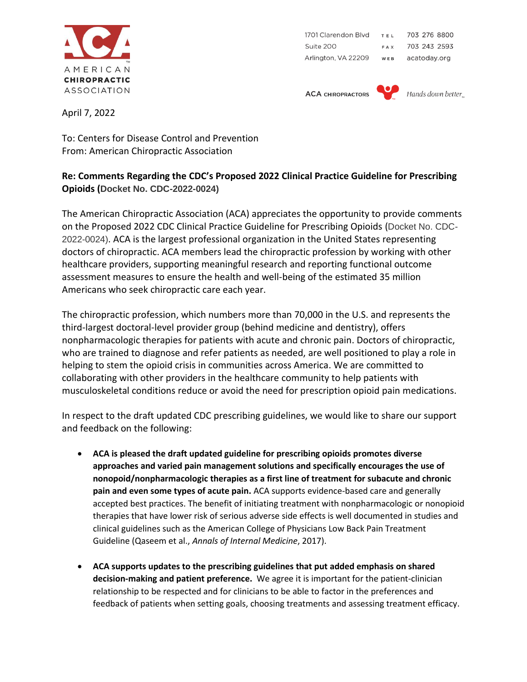

1701 Clarendon Blvd TEL 703 276 8800 Suite 200 703 243 2593 FAX Arlington, VA 22209 WEB acatoday.org

**ACA CHIROPRACTORS** 



April 7, 2022

To: Centers for Disease Control and Prevention From: American Chiropractic Association

## **Re: Comments Regarding the CDC's Proposed 2022 Clinical Practice Guideline for Prescribing Opioids (Docket No. CDC-2022-0024)**

The American Chiropractic Association (ACA) appreciates the opportunity to provide comments on the Proposed 2022 CDC Clinical Practice Guideline for Prescribing Opioids (Docket No. CDC-2022-0024). ACA is the largest professional organization in the United States representing doctors of chiropractic. ACA members lead the chiropractic profession by working with other healthcare providers, supporting meaningful research and reporting functional outcome assessment measures to ensure the health and well-being of the estimated 35 million Americans who seek chiropractic care each year.

The chiropractic profession, which numbers more than 70,000 in the U.S. and represents the third-largest doctoral-level provider group (behind medicine and dentistry), offers nonpharmacologic therapies for patients with acute and chronic pain. Doctors of chiropractic, who are trained to diagnose and refer patients as needed, are well positioned to play a role in helping to stem the opioid crisis in communities across America. We are committed to collaborating with other providers in the healthcare community to help patients with musculoskeletal conditions reduce or avoid the need for prescription opioid pain medications.

In respect to the draft updated CDC prescribing guidelines, we would like to share our support and feedback on the following:

- **ACA is pleased the draft updated guideline for prescribing opioids promotes diverse approaches and varied pain management solutions and specifically encourages the use of nonopoid/nonpharmacologic therapies as a first line of treatment for subacute and chronic pain and even some types of acute pain.** ACA supports evidence-based care and generally accepted best practices. The benefit of initiating treatment with nonpharmacologic or nonopioid therapies that have lower risk of serious adverse side effects is well documented in studies and clinical guidelines such as the American College of Physicians Low Back Pain Treatment Guideline (Qaseem et al., *Annals of Internal Medicine*, 2017).
- **ACA supports updates to the prescribing guidelines that put added emphasis on shared decision-making and patient preference.** We agree it is important for the patient-clinician relationship to be respected and for clinicians to be able to factor in the preferences and feedback of patients when setting goals, choosing treatments and assessing treatment efficacy.